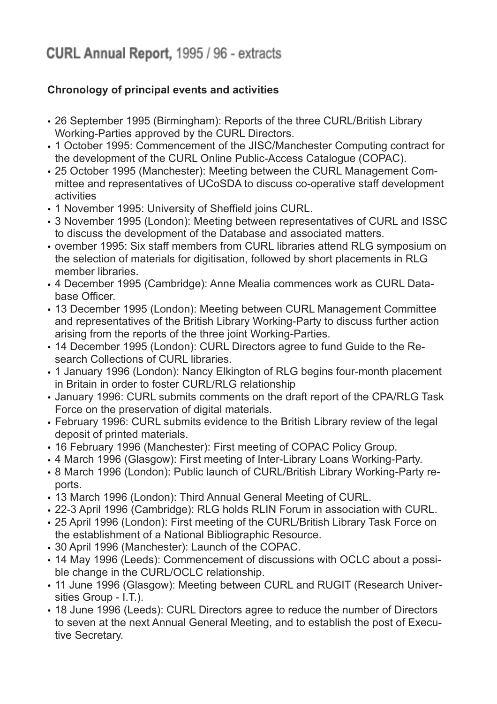## **Chronology of principal events and activities**

- 26 September 1995 (Birmingham): Reports of the three CURL/British Library Working-Parties approved by the CURL Directors.
- 1 October 1995: Commencement of the JISC/Manchester Computing contract for the development of the CURL Online Public-Access Catalogue (COPAC).
- 25 October 1995 (Manchester): Meeting between the CURL Management Committee and representatives of UCoSDA to discuss co-operative staff development activities
- 1 November 1995: University of Sheffield joins CURL.
- 3 November 1995 (London): Meeting between representatives of CURL and ISSC to discuss the development of the Database and associated matters.
- ovember 1995: Six staff members from CURL libraries attend RLG symposium on the selection of materials for digitisation, followed by short placements in RLG member libraries.
- 4 December 1995 (Cambridge): Anne Mealia commences work as CURL Database Officer.
- 13 December 1995 (London): Meeting between CURL Management Committee and representatives of the British Library Working-Party to discuss further action arising from the reports of the three joint Working-Parties.
- 14 December 1995 (London): CURL Directors agree to fund Guide to the Research Collections of CURL libraries.
- 1 January 1996 (London): Nancy Elkington of RLG begins four-month placement in Britain in order to foster CURL/RLG relationship
- January 1996: CURL submits comments on the draft report of the CPA/RLG Task Force on the preservation of digital materials.
- February 1996: CURL submits evidence to the British Library review of the legal deposit of printed materials.
- 16 February 1996 (Manchester): First meeting of COPAC Policy Group.
- 4 March 1996 (Glasgow): First meeting of Inter-Library Loans Working-Party.
- 8 March 1996 (London): Public launch of CURL/British Library Working-Party reports.
- 13 March 1996 (London): Third Annual General Meeting of CURL.
- 22-3 April 1996 (Cambridge): RLG holds RLIN Forum in association with CURL.
- 25 April 1996 (London): First meeting of the CURL/British Library Task Force on the establishment of a National Bibliographic Resource.
- 30 April 1996 (Manchester): Launch of the COPAC.
- 14 May 1996 (Leeds): Commencement of discussions with OCLC about a possible change in the CURL/OCLC relationship.
- 11 June 1996 (Glasgow): Meeting between CURL and RUGIT (Research Universities Group - I.T.).
- 18 June 1996 (Leeds): CURL Directors agree to reduce the number of Directors to seven at the next Annual General Meeting, and to establish the post of Executive Secretary.